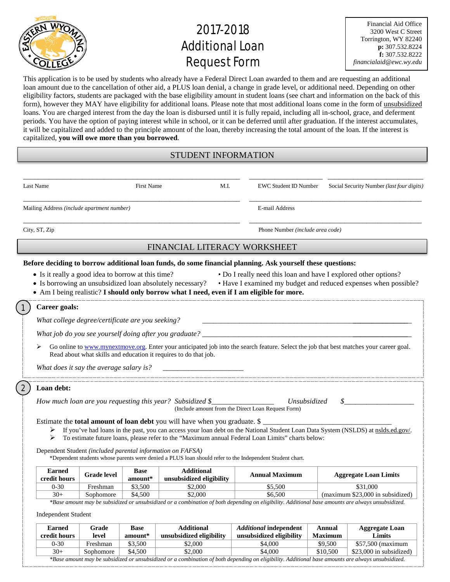

# 2017-2018 **Additional Loan** Request Form

| <b>Financial Aid Office</b> |
|-----------------------------|
| 3200 West C Street          |
| Torrington, WY 82240        |
| p: 307.532.8224             |
| f: 307.532.8222             |
| financialaid@ewc.wy.edu     |

This application is to be used by students who already have a Federal Direct Loan awarded to them and are requesting an additional loan amount due to the cancellation of other aid, a PLUS loan denial, a change in grade level, or additional need. Depending on other eligibility factors, students are packaged with the base eligibility amount in student loans (see chart and information on the back of this form), however they MAY have eligibility for additional loans. Please note that most additional loans come in the form of unsubsidized loans. You are charged interest from the day the loan is disbursed until it is fully repaid, including all in-school, grace, and deferment periods. You have the option of paying interest while in school, or it can be deferred until after graduation. If the interest accumulates, it will be capitalized and added to the principle amount of the loan, thereby increasing the total amount of the loan. If the interest is capitalized, **you will owe more than you borrowed**.

### STUDENT INFORMATION

| Last Name                                          |                                                  | <b>First Name</b><br>M.I. |                                                                                                                                                                               | <b>EWC Student ID Number</b>                                                                                                                                           | Social Security Number (last four digits)                                                                                               |  |
|----------------------------------------------------|--------------------------------------------------|---------------------------|-------------------------------------------------------------------------------------------------------------------------------------------------------------------------------|------------------------------------------------------------------------------------------------------------------------------------------------------------------------|-----------------------------------------------------------------------------------------------------------------------------------------|--|
| Mailing Address (include apartment number)         |                                                  |                           | E-mail Address                                                                                                                                                                |                                                                                                                                                                        |                                                                                                                                         |  |
| City, ST, Zip                                      |                                                  |                           | Phone Number (include area code)                                                                                                                                              |                                                                                                                                                                        |                                                                                                                                         |  |
|                                                    |                                                  |                           | FINANCIAL LITERACY WORKSHEET                                                                                                                                                  |                                                                                                                                                                        |                                                                                                                                         |  |
|                                                    |                                                  |                           |                                                                                                                                                                               | Before deciding to borrow additional loan funds, do some financial planning. Ask yourself these questions:                                                             |                                                                                                                                         |  |
| • Is it really a good idea to borrow at this time? |                                                  |                           | • Is borrowing an unsubsidized loan absolutely necessary?<br>• Am I being realistic? I should only borrow what I need, even if I am eligible for more.                        |                                                                                                                                                                        | • Do I really need this loan and have I explored other options?<br>• Have I examined my budget and reduced expenses when possible?      |  |
| Career goals:                                      |                                                  |                           |                                                                                                                                                                               |                                                                                                                                                                        |                                                                                                                                         |  |
|                                                    | What college degree/certificate are you seeking? |                           |                                                                                                                                                                               |                                                                                                                                                                        |                                                                                                                                         |  |
|                                                    |                                                  |                           |                                                                                                                                                                               |                                                                                                                                                                        |                                                                                                                                         |  |
| ⋗                                                  | What does it say the average salary is?          |                           | Read about what skills and education it requires to do that job.                                                                                                              |                                                                                                                                                                        | Go online to www.mynextmove.org. Enter your anticipated job into the search feature. Select the job that best matches your career goal. |  |
| Loan debt:                                         |                                                  |                           |                                                                                                                                                                               |                                                                                                                                                                        |                                                                                                                                         |  |
| ➤                                                  |                                                  |                           | How much loan are you requesting this year? Subsidized \$_<br>Estimate the <b>total amount of loan debt</b> you will have when you graduate. \$                               | Unsubsidized<br>(Include amount from the Direct Loan Request Form)<br>To estimate future loans, please refer to the "Maximum annual Federal Loan Limits" charts below: | \$<br>If you've had loans in the past, you can access your loan debt on the National Student Loan Data System (NSLDS) at nslds.ed.gov/. |  |
|                                                    |                                                  |                           | Dependent Student <i>(included parental information on FAFSA)</i><br>*Dependent students whose parents were denied a PLUS loan should refer to the Independent Student chart. |                                                                                                                                                                        |                                                                                                                                         |  |
| <b>Earned</b><br>credit hours                      | <b>Grade level</b>                               | <b>Base</b><br>amount*    | <b>Additional</b><br>unsubsidized eligibility                                                                                                                                 | <b>Annual Maximum</b>                                                                                                                                                  | <b>Aggregate Loan Limits</b>                                                                                                            |  |
| $0 - 30$                                           | Freshman                                         | \$3,500                   | \$2,000                                                                                                                                                                       | \$5,500                                                                                                                                                                | \$31,000                                                                                                                                |  |
| $30+$                                              | Sophomore                                        | \$4,500                   | \$2,000                                                                                                                                                                       | \$6,500                                                                                                                                                                | (maximum \$23,000 in subsidized)                                                                                                        |  |

| <b>Earned</b>                                                                                                                                      | Grade     | <b>Base</b> | <b>Additional</b>        | <i><b>Additional independent</b></i> | Annual         | <b>Aggregate Loan</b>   |  |  |  |  |
|----------------------------------------------------------------------------------------------------------------------------------------------------|-----------|-------------|--------------------------|--------------------------------------|----------------|-------------------------|--|--|--|--|
| credit hours                                                                                                                                       | level     | amount*     | unsubsidized eligibility | unsubsidized eligibility             | <b>Maximum</b> | Limits                  |  |  |  |  |
| $0 - 30$                                                                                                                                           | Freshman  | \$3,500     | \$2,000                  | \$4.000                              | \$9,500        | $$57.500$ (maximum      |  |  |  |  |
| $30+$                                                                                                                                              | Sophomore | \$4,500     | \$2.000                  | \$4,000                              | \$10.500       | \$23,000 in subsidized) |  |  |  |  |
| *Base amount may be subsidized or unsubsidized or a combination of both depending on eligibility. Additional base amounts are always unsubsidized. |           |             |                          |                                      |                |                         |  |  |  |  |